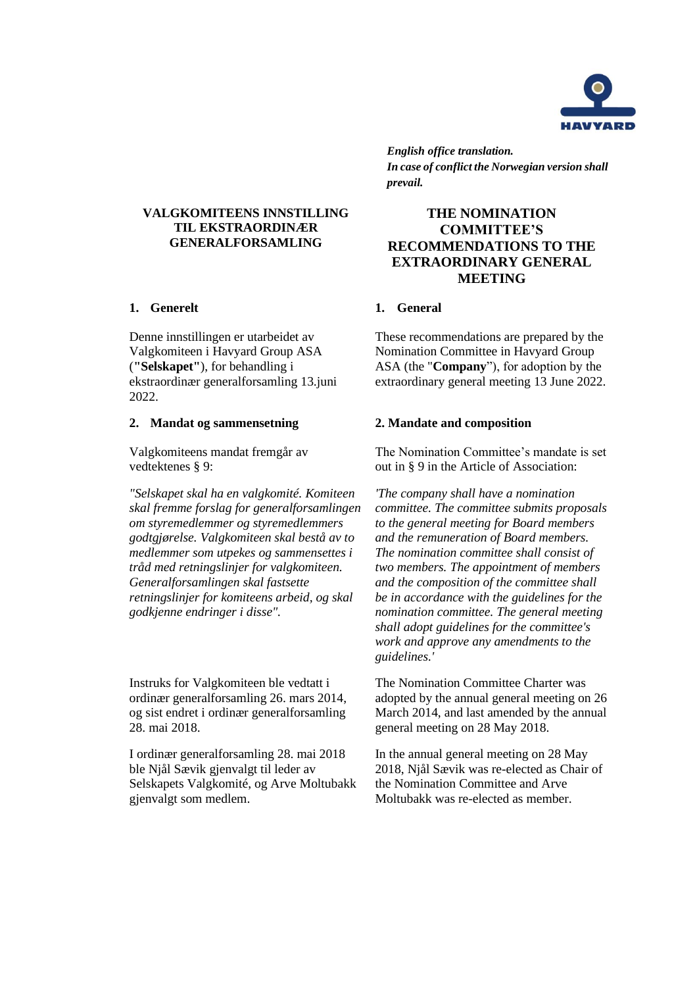

*English office translation. In case of conflict the Norwegian version shall prevail.*

# **THE NOMINATION COMMITTEE'S RECOMMENDATIONS TO THE EXTRAORDINARY GENERAL MEETING**

These recommendations are prepared by the Nomination Committee in Havyard Group ASA (the "**Company**"), for adoption by the extraordinary general meeting 13 June 2022.

### **2. Mandat og sammensetning 2. Mandate and composition**

The Nomination Committee's mandate is set out in § 9 in the Article of Association:

*'The company shall have a nomination committee. The committee submits proposals to the general meeting for Board members and the remuneration of Board members. The nomination committee shall consist of two members. The appointment of members and the composition of the committee shall be in accordance with the guidelines for the nomination committee. The general meeting shall adopt guidelines for the committee's work and approve any amendments to the guidelines.'*

The Nomination Committee Charter was adopted by the annual general meeting on 26 March 2014, and last amended by the annual general meeting on 28 May 2018.

In the annual general meeting on 28 May 2018, Njål Sævik was re-elected as Chair of the Nomination Committee and Arve Moltubakk was re-elected as member.

**VALGKOMITEENS INNSTILLING TIL EKSTRAORDINÆR GENERALFORSAMLING**

### **1. Generelt 1. General**

Denne innstillingen er utarbeidet av Valgkomiteen i Havyard Group ASA (**"Selskapet"**), for behandling i ekstraordinær generalforsamling 13.juni 2022.

Valgkomiteens mandat fremgår av vedtektenes § 9:

*"Selskapet skal ha en valgkomité. Komiteen skal fremme forslag for generalforsamlingen om styremedlemmer og styremedlemmers godtgjørelse. Valgkomiteen skal bestå av to medlemmer som utpekes og sammensettes i tråd med retningslinjer for valgkomiteen. Generalforsamlingen skal fastsette retningslinjer for komiteens arbeid, og skal godkjenne endringer i disse".*

Instruks for Valgkomiteen ble vedtatt i ordinær generalforsamling 26. mars 2014, og sist endret i ordinær generalforsamling 28. mai 2018.

I ordinær generalforsamling 28. mai 2018 ble Njål Sævik gjenvalgt til leder av Selskapets Valgkomité, og Arve Moltubakk gjenvalgt som medlem.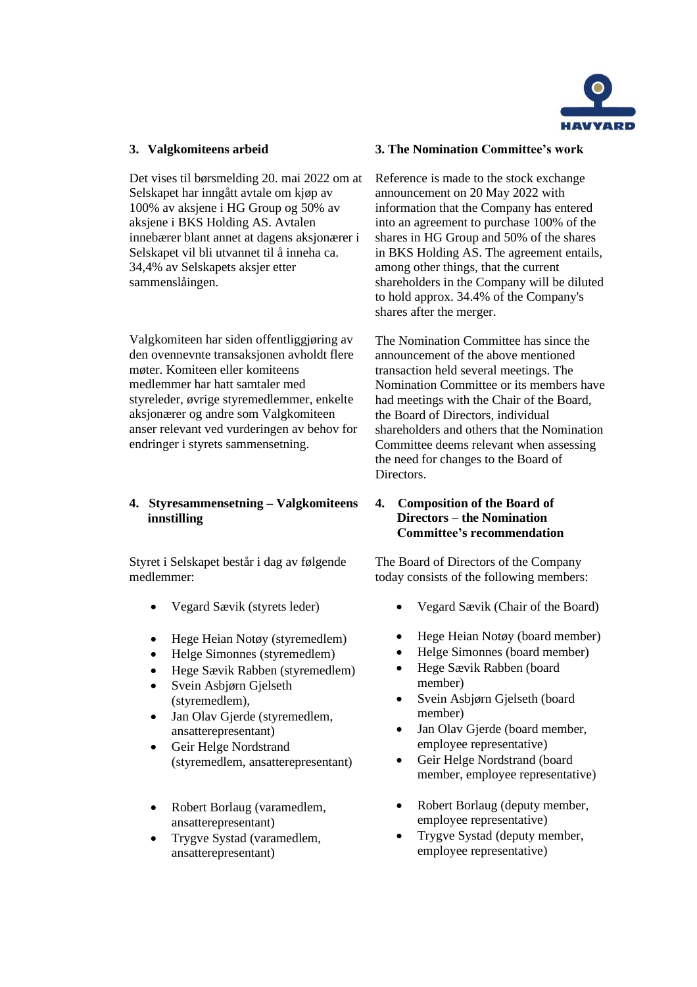

Det vises til børsmelding 20. mai 2022 om at Selskapet har inngått avtale om kjøp av 100% av aksjene i HG Group og 50% av aksjene i BKS Holding AS. Avtalen innebærer blant annet at dagens aksjonærer i Selskapet vil bli utvannet til å inneha ca. 34,4% av Selskapets aksjer etter sammenslåingen.

Valgkomiteen har siden offentliggjøring av den ovennevnte transaksjonen avholdt flere møter. Komiteen eller komiteens medlemmer har hatt samtaler med styreleder, øvrige styremedlemmer, enkelte aksjonærer og andre som Valgkomiteen anser relevant ved vurderingen av behov for endringer i styrets sammensetning.

# **4. Styresammensetning – Valgkomiteens innstilling**

Styret i Selskapet består i dag av følgende medlemmer:

- Vegard Sævik (styrets leder)
- Hege Heian Notøy (styremedlem)
- Helge Simonnes (styremedlem)
- Hege Sævik Rabben (styremedlem)
- Svein Asbjørn Gjelseth (styremedlem),
- Jan Olav Gjerde (styremedlem, ansatterepresentant)
- Geir Helge Nordstrand (styremedlem, ansatterepresentant)
- Robert Borlaug (varamedlem, ansatterepresentant)
- Trygve Systad (varamedlem, ansatterepresentant)

## **3. Valgkomiteens arbeid 3. The Nomination Committee's work**

Reference is made to the stock exchange announcement on 20 May 2022 with information that the Company has entered into an agreement to purchase 100% of the shares in HG Group and 50% of the shares in BKS Holding AS. The agreement entails, among other things, that the current shareholders in the Company will be diluted to hold approx. 34.4% of the Company's shares after the merger.

The Nomination Committee has since the announcement of the above mentioned transaction held several meetings. The Nomination Committee or its members have had meetings with the Chair of the Board, the Board of Directors, individual shareholders and others that the Nomination Committee deems relevant when assessing the need for changes to the Board of Directors.

## **4. Composition of the Board of Directors – the Nomination Committee's recommendation**

The Board of Directors of the Company today consists of the following members:

- Vegard Sævik (Chair of the Board)
- Hege Heian Notøy (board member)
- Helge Simonnes (board member)
- Hege Sævik Rabben (board member)
- Svein Asbjørn Gjelseth (board member)
- Jan Olav Gjerde (board member, employee representative)
- Geir Helge Nordstrand (board member, employee representative)
- Robert Borlaug (deputy member, employee representative)
- Trygve Systad (deputy member, employee representative)